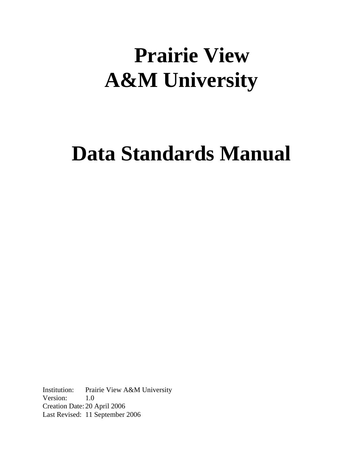# **Prairie View A&M University**

# **Data Standards Manual**

Institution: Prairie View A&M University Version: 1.0 Creation Date: 20 April 2006 Last Revised: 11 September 2006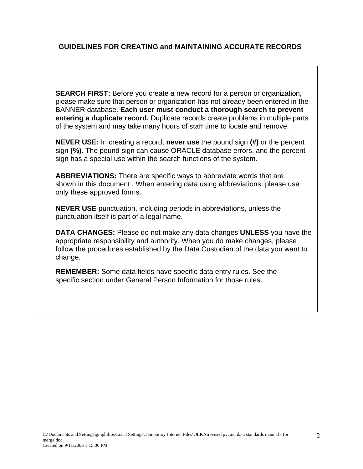# **GUIDELINES FOR CREATING and MAINTAINING ACCURATE RECORDS**

**SEARCH FIRST:** Before you create a new record for a person or organization, please make sure that person or organization has not already been entered in the BANNER database. **Each user must conduct a thorough search to prevent entering a duplicate record.** Duplicate records create problems in multiple parts of the system and may take many hours of staff time to locate and remove.

**NEVER USE:** In creating a record, **never use** the pound sign **(#)** or the percent sign **(%).** The pound sign can cause ORACLE database errors, and the percent sign has a special use within the search functions of the system.

**ABBREVIATIONS:** There are specific ways to abbreviate words that are shown in this document . When entering data using abbreviations, please use only these approved forms.

**NEVER USE** punctuation, including periods in abbreviations, unless the punctuation itself is part of a legal name.

**DATA CHANGES:** Please do not make any data changes **UNLESS** you have the appropriate responsibility and authority. When you do make changes, please follow the procedures established by the Data Custodian of the data you want to change.

**REMEMBER:** Some data fields have specific data entry rules. See the specific section under General Person Information for those rules.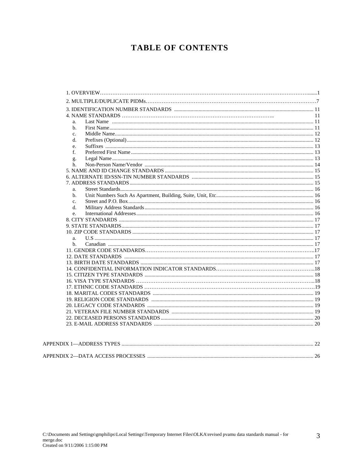# **TABLE OF CONTENTS**

|                | 11 |
|----------------|----|
| a.             |    |
| b.             |    |
| $\mathbf{c}$ . |    |
| d.             |    |
| e.             |    |
| $f_{\cdot}$    |    |
| g.             |    |
| h.             |    |
|                |    |
|                |    |
|                |    |
| a.             |    |
| b.             |    |
| C <sub>1</sub> |    |
| d.             |    |
| e.             |    |
|                |    |
|                |    |
|                |    |
| a.             |    |
| b.             |    |
|                |    |
|                |    |
|                |    |
|                |    |
|                |    |
|                |    |
|                |    |
|                |    |
|                |    |
|                |    |
|                |    |
|                |    |
|                |    |
|                |    |

| APPENDIX 2-DATA ACCESS PROCESSES |  |
|----------------------------------|--|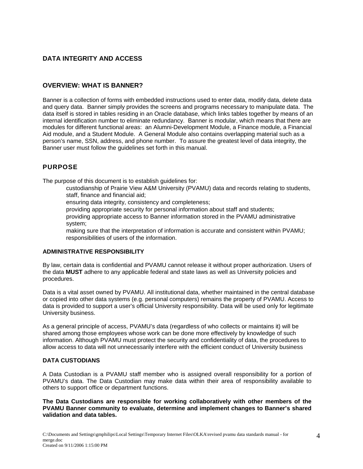## **DATA INTEGRITY AND ACCESS**

#### **OVERVIEW: WHAT IS BANNER?**

Banner is a collection of forms with embedded instructions used to enter data, modify data, delete data and query data. Banner simply provides the screens and programs necessary to manipulate data. The data itself is stored in tables residing in an Oracle database, which links tables together by means of an internal identification number to eliminate redundancy. Banner is modular, which means that there are modules for different functional areas: an Alumni-Development Module, a Finance module, a Financial Aid module, and a Student Module. A General Module also contains overlapping material such as a person's name, SSN, address, and phone number. To assure the greatest level of data integrity, the Banner user must follow the guidelines set forth in this manual.

### **PURPOSE**

The purpose of this document is to establish guidelines for:

 custodianship of Prairie View A&M University (PVAMU) data and records relating to students, staff, finance and financial aid;

ensuring data integrity, consistency and completeness;

providing appropriate security for personal information about staff and students;

 providing appropriate access to Banner information stored in the PVAMU administrative system;

 making sure that the interpretation of information is accurate and consistent within PVAMU; responsibilities of users of the information.

#### **ADMINISTRATIVE RESPONSIBILITY**

By law, certain data is confidential and PVAMU cannot release it without proper authorization. Users of the data **MUST** adhere to any applicable federal and state laws as well as University policies and procedures.

Data is a vital asset owned by PVAMU. All institutional data, whether maintained in the central database or copied into other data systems (e.g. personal computers) remains the property of PVAMU. Access to data is provided to support a user's official University responsibility. Data will be used only for legitimate University business.

As a general principle of access, PVAMU's data (regardless of who collects or maintains it) will be shared among those employees whose work can be done more effectively by knowledge of such information. Although PVAMU must protect the security and confidentiality of data, the procedures to allow access to data will not unnecessarily interfere with the efficient conduct of University business

#### **DATA CUSTODIANS**

A Data Custodian is a PVAMU staff member who is assigned overall responsibility for a portion of PVAMU's data. The Data Custodian may make data within their area of responsibility available to others to support office or department functions.

**The Data Custodians are responsible for working collaboratively with other members of the PVAMU Banner community to evaluate, determine and implement changes to Banner's shared validation and data tables.**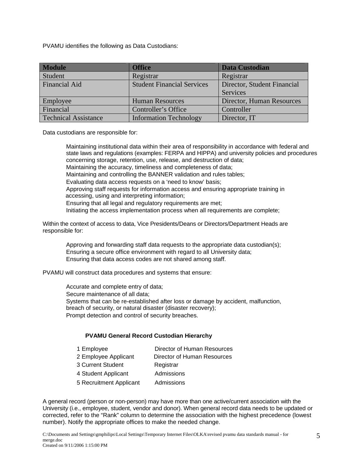PVAMU identifies the following as Data Custodians:

| <b>Module</b>               | <b>Office</b>                     | <b>Data Custodian</b>       |
|-----------------------------|-----------------------------------|-----------------------------|
| Student                     | Registrar                         | Registrar                   |
| <b>Financial Aid</b>        | <b>Student Financial Services</b> | Director, Student Financial |
|                             |                                   | Services                    |
| Employee                    | <b>Human Resources</b>            | Director, Human Resources   |
| Financial                   | Controller's Office               | Controller                  |
| <b>Technical Assistance</b> | <b>Information Technology</b>     | Director, IT                |

Data custodians are responsible for:

 Maintaining institutional data within their area of responsibility in accordance with federal and state laws and regulations (examples: FERPA and HIPPA) and university policies and procedures concerning storage, retention, use, release, and destruction of data; Maintaining the accuracy, timeliness and completeness of data; Maintaining and controlling the BANNER validation and rules tables; Evaluating data access requests on a 'need to know' basis; Approving staff requests for information access and ensuring appropriate training in accessing, using and interpreting information; Ensuring that all legal and regulatory requirements are met; Initiating the access implementation process when all requirements are complete;

Within the context of access to data, Vice Presidents/Deans or Directors/Department Heads are responsible for:

 Approving and forwarding staff data requests to the appropriate data custodian(s); Ensuring a secure office environment with regard to all University data; Ensuring that data access codes are not shared among staff.

PVAMU will construct data procedures and systems that ensure:

 Accurate and complete entry of data; Secure maintenance of all data; Systems that can be re-established after loss or damage by accident, malfunction, breach of security, or natural disaster (disaster recovery); Prompt detection and control of security breaches.

#### **PVAMU General Record Custodian Hierarchy**

| 1 Employee              | Director of Human Resources |
|-------------------------|-----------------------------|
| 2 Employee Applicant    | Director of Human Resources |
| 3 Current Student       | Registrar                   |
| 4 Student Applicant     | Admissions                  |
| 5 Recruitment Applicant | Admissions                  |

A general record (person or non-person) may have more than one active/current association with the University (i.e., employee, student, vendor and donor). When general record data needs to be updated or corrected, refer to the "Rank" column to determine the association with the highest precedence (lowest number). Notify the appropriate offices to make the needed change.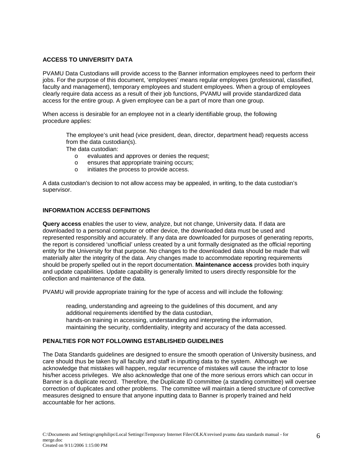#### **ACCESS TO UNIVERSITY DATA**

PVAMU Data Custodians will provide access to the Banner information employees need to perform their jobs. For the purpose of this document, 'employees' means regular employees (professional, classified, faculty and management), temporary employees and student employees. When a group of employees clearly require data access as a result of their job functions, PVAMU will provide standardized data access for the entire group. A given employee can be a part of more than one group.

When access is desirable for an employee not in a clearly identifiable group, the following procedure applies:

 The employee's unit head (vice president, dean, director, department head) requests access from the data custodian(s).

The data custodian:

- o evaluates and approves or denies the request;
- o ensures that appropriate training occurs;
- o initiates the process to provide access.

A data custodian's decision to not allow access may be appealed, in writing, to the data custodian's supervisor.

#### **INFORMATION ACCESS DEFINITIONS**

**Query access** enables the user to view, analyze, but not change, University data. If data are downloaded to a personal computer or other device, the downloaded data must be used and represented responsibly and accurately. If any data are downloaded for purposes of generating reports, the report is considered 'unofficial' unless created by a unit formally designated as the official reporting entity for the University for that purpose. No changes to the downloaded data should be made that will materially alter the integrity of the data. Any changes made to accommodate reporting requirements should be properly spelled out in the report documentation. **Maintenance access** provides both inquiry and update capabilities. Update capability is generally limited to users directly responsible for the collection and maintenance of the data.

PVAMU will provide appropriate training for the type of access and will include the following:

 reading, understanding and agreeing to the guidelines of this document, and any additional requirements identified by the data custodian, hands-on training in accessing, understanding and interpreting the information, maintaining the security, confidentiality, integrity and accuracy of the data accessed.

#### **PENALTIES FOR NOT FOLLOWING ESTABLISHED GUIDELINES**

The Data Standards guidelines are designed to ensure the smooth operation of University business, and care should thus be taken by all faculty and staff in inputting data to the system. Although we acknowledge that mistakes will happen, regular recurrence of mistakes will cause the infractor to lose his/her access privileges. We also acknowledge that one of the more serious errors which can occur in Banner is a duplicate record. Therefore, the Duplicate ID committee (a standing committee) will oversee correction of duplicates and other problems. The committee will maintain a tiered structure of corrective measures designed to ensure that anyone inputting data to Banner is properly trained and held accountable for her actions.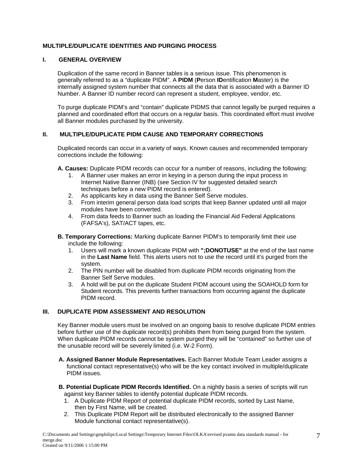#### **MULTIPLE/DUPLICATE IDENTITIES AND PURGING PROCESS**

#### **I. GENERAL OVERVIEW**

Duplication of the same record in Banner tables is a serious issue. This phenomenon is generally referred to as a "duplicate PIDM". A **PIDM** (**P**erson **ID**entification **M**aster) is the internally assigned system number that connects all the data that is associated with a Banner ID Number. A Banner ID number record can represent a student, employee, vendor, etc.

To purge duplicate PIDM's and "contain" duplicate PIDMS that cannot legally be purged requires a planned and coordinated effort that occurs on a regular basis. This coordinated effort must involve all Banner modules purchased by the university.

#### **II. MULTIPLE/DUPLICATE PIDM CAUSE AND TEMPORARY CORRECTIONS**

Duplicated records can occur in a variety of ways. Known causes and recommended temporary corrections include the following:

**A. Causes:** Duplicate PIDM records can occur for a number of reasons, including the following:

- 1. A Banner user makes an error in keying in a person during the input process in Internet Native Banner (INB) (see Section IV for suggested detailed search techniques before a new PIDM record is entered).
- 2. As applicants key in data using the Banner Self Serve modules.
- 3. From interim general person data load scripts that keep Banner updated until all major modules have been converted.
- 4. From data feeds to Banner such as loading the Financial Aid Federal Applications (FAFSA's), SAT/ACT tapes, etc.
- **B. Temporary Corrections:** Marking duplicate Banner PIDM's to temporarily limit their use include the following:
	- 1. Users will mark a known duplicate PIDM with **";DONOTUSE"** at the end of the last name in the **Last Name** field. This alerts users not to use the record until it's purged from the system.
	- 2. The PIN number will be disabled from duplicate PIDM records originating from the Banner Self Serve modules.
	- 3. A hold will be put on the duplicate Student PIDM account using the SOAHOLD form for Student records. This prevents further transactions from occurring against the duplicate PIDM record.

#### **III. DUPLICATE PIDM ASSESSMENT AND RESOLUTION**

Key Banner module users must be involved on an ongoing basis to resolve duplicate PIDM entries before further use of the duplicate record(s) prohibits them from being purged from the system. When duplicate PIDM records cannot be system purged they will be "contained" so further use of the unusable record will be severely limited (i.e. W-2 Form).

- **A. Assigned Banner Module Representatives.** Each Banner Module Team Leader assigns a functional contact representative(s) who will be the key contact involved in multiple/duplicate PIDM issues.
- **B. Potential Duplicate PIDM Records Identified.** On a nightly basis a series of scripts will run against key Banner tables to identify potential duplicate PIDM records.
	- 1. A Duplicate PIDM Report of potential duplicate PIDM records, sorted by Last Name, then by First Name, will be created.
	- 2. This Duplicate PIDM Report will be distributed electronically to the assigned Banner Module functional contact representative(s).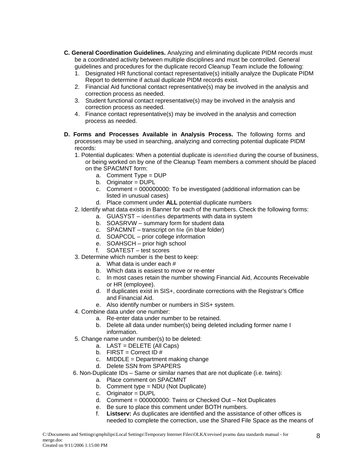- **C. General Coordination Guidelines.** Analyzing and eliminating duplicate PIDM records must be a coordinated activity between multiple disciplines and must be controlled. General guidelines and procedures for the duplicate record Cleanup Team include the following:
	- 1. Designated HR functional contact representative(s) initially analyze the Duplicate PIDM Report to determine if actual duplicate PIDM records exist.
	- 2. Financial Aid functional contact representative(s) may be involved in the analysis and correction process as needed.
	- 3. Student functional contact representative(s) may be involved in the analysis and correction process as needed.
	- 4. Finance contact representative(s) may be involved in the analysis and correction process as needed.
- **D. Forms and Processes Available in Analysis Process.** The following forms and processes may be used in searching, analyzing and correcting potential duplicate PIDM records:
	- 1. Potential duplicates: When a potential duplicate is identified during the course of business, or being worked on by one of the Cleanup Team members a comment should be placed on the SPACMNT form:
		- a. Comment Type = DUP
		- b. Originator = DUPL
		- c. Comment = 000000000: To be investigated (additional information can be listed in unusual cases)
		- d. Place comment under **ALL** potential duplicate numbers
	- 2. Identify what data exists in Banner for each of the numbers. Check the following forms:
		- a. GUASYST identifies departments with data in system
		- b. SOASRVW summary form for student data
		- c. SPACMNT transcript on file (in blue folder)
		- d. SOAPCOL prior college information
		- e. SOAHSCH prior high school
		- f. SOATEST test scores
	- 3. Determine which number is the best to keep:
		- a. What data is under each #
		- b. Which data is easiest to move or re-enter
		- c. In most cases retain the number showing Financial Aid, Accounts Receivable or HR (employee).
		- d. If duplicates exist in SIS+, coordinate corrections with the Registrar's Office and Financial Aid.
		- e. Also identify number or numbers in SIS+ system.
	- 4. Combine data under one number:
		- a. Re-enter data under number to be retained.
		- b. Delete all data under number(s) being deleted including former name I information.
	- 5. Change name under number(s) to be deleted:
		- a. LAST = DELETE (All Caps)
		- b. FIRST = Correct ID  $#$
		- c. MIDDLE = Department making change
		- d. Delete SSN from SPAPERS
	- 6. Non-Duplicate IDs Same or similar names that are not duplicate (i.e. twins):
		- a. Place comment on SPACMNT
		- b. Comment type = NDU (Not Duplicate)
		- c. Originator = DUPL
		- d. Comment = 000000000: Twins or Checked Out Not Duplicates
		- e. Be sure to place this comment under BOTH numbers.
		- f. **Listserv:** As duplicates are identified and the assistance of other offices is needed to complete the correction, use the Shared File Space as the means of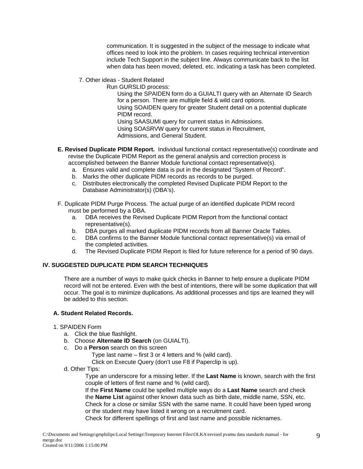communication. It is suggested in the subject of the message to indicate what offices need to look into the problem. In cases requiring technical intervention include Tech Support in the subject line. Always communicate back to the list when data has been moved, deleted, etc. indicating a task has been completed.

7. Other ideas - Student Related

Run GURSLID process:

 Using the SPAIDEN form do a GUIALTI query with an Alternate ID Search for a person. There are multiple field & wild card options.

 Using SOAIDEN query for greater Student detail on a potential duplicate PIDM record.

 Using SAASUMI query for current status in Admissions. Using SOASRVW query for current status in Recruitment, Admissions, and General Student.

- **E. Revised Duplicate PIDM Report.** Individual functional contact representative(s) coordinate and revise the Duplicate PIDM Report as the general analysis and correction process is accomplished between the Banner Module functional contact representative(s).
	- a. Ensures valid and complete data is put in the designated "System of Record".
	- b. Marks the other duplicate PIDM records as records to be purged.
	- c. Distributes electronically the completed Revised Duplicate PIDM Report to the Database Administrator(s) (DBA's).
- F. Duplicate PIDM Purge Process. The actual purge of an identified duplicate PIDM record must be performed by a DBA.
	- a. DBA receives the Revised Duplicate PIDM Report from the functional contact representative(s).
	- b. DBA purges all marked duplicate PIDM records from all Banner Oracle Tables.
	- c. DBA confirms to the Banner Module functional contact representative(s) via email of the completed activities.
	- d. The Revised Duplicate PIDM Report is filed for future reference for a period of 90 days.

#### **IV. SUGGESTED DUPLICATE PIDM SEARCH TECHNIQUES**

There are a number of ways to make quick checks in Banner to help ensure a duplicate PIDM record will not be entered. Even with the best of intentions, there will be some duplication that will occur. The goal is to minimize duplications. As additional processes and tips are learned they will be added to this section.

#### **A. Student Related Records.**

#### 1. SPAIDEN Form

- a. Click the blue flashlight.
- b. Choose **Alternate ID Search** (on GUIALTI).
- c. Do a **Person** search on this screen

Type last name – first 3 or 4 letters and % (wild card).

Click on Execute Query (don't use F8 if Paperclip is up).

d. Other Tips:

 Type an underscore for a missing letter. If the **Last Name** is known, search with the first couple of letters of first name and % (wild card).

 If the **First Name** could be spelled multiple ways do a **Last Name** search and check the **Name List** against other known data such as birth date, middle name, SSN, etc.

 Check for a close or similar SSN with the same name. It could have been typed wrong or the student may have listed it wrong on a recruitment card.

Check for different spellings of first and last name and possible nicknames.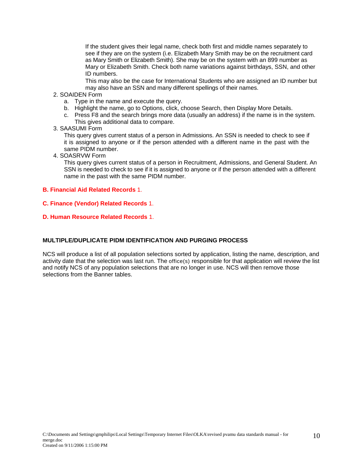If the student gives their legal name, check both first and middle names separately to see if they are on the system (i.e. Elizabeth Mary Smith may be on the recruitment card as Mary Smith or Elizabeth Smith). She may be on the system with an 899 number as Mary or Elizabeth Smith. Check both name variations against birthdays, SSN, and other ID numbers.

 This may also be the case for International Students who are assigned an ID number but may also have an SSN and many different spellings of their names.

#### 2. SOAIDEN Form

- a. Type in the name and execute the query.
- b. Highlight the name, go to Options, click, choose Search, then Display More Details.
- c. Press F8 and the search brings more data (usually an address) if the name is in the system. This gives additional data to compare.
- 3. SAASUMI Form

This query gives current status of a person in Admissions. An SSN is needed to check to see if it is assigned to anyone or if the person attended with a different name in the past with the same PIDM number.

4. SOASRVW Form

This query gives current status of a person in Recruitment, Admissions, and General Student. An SSN is needed to check to see if it is assigned to anyone or if the person attended with a different name in the past with the same PIDM number.

#### **B. Financial Aid Related Records** 1.

- **C. Finance (Vendor) Related Records** 1.
- **D. Human Resource Related Records** 1.

#### **MULTIPLE/DUPLICATE PIDM IDENTIFICATION AND PURGING PROCESS**

NCS will produce a list of all population selections sorted by application, listing the name, description, and activity date that the selection was last run. The office(s) responsible for that application will review the list and notify NCS of any population selections that are no longer in use. NCS will then remove those selections from the Banner tables.

10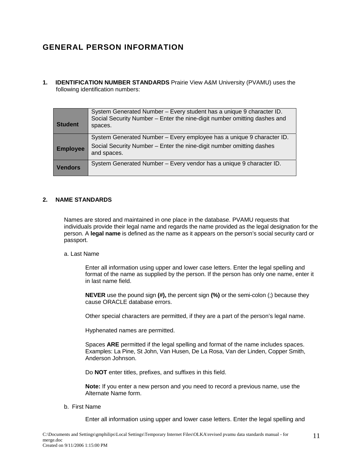# **GENERAL PERSON INFORMATION**

**1. IDENTIFICATION NUMBER STANDARDS** Prairie View A&M University (PVAMU) uses the following identification numbers:

| <b>Student</b>  | System Generated Number - Every student has a unique 9 character ID.<br>Social Security Number - Enter the nine-digit number omitting dashes and<br>spaces. |
|-----------------|-------------------------------------------------------------------------------------------------------------------------------------------------------------|
|                 | System Generated Number - Every employee has a unique 9 character ID.                                                                                       |
| <b>Employee</b> | Social Security Number - Enter the nine-digit number omitting dashes<br>and spaces.                                                                         |
| <b>Vendors</b>  | System Generated Number - Every vendor has a unique 9 character ID.                                                                                         |

#### **2. NAME STANDARDS**

Names are stored and maintained in one place in the database. PVAMU requests that individuals provide their legal name and regards the name provided as the legal designation for the person. A **legal name** is defined as the name as it appears on the person's social security card or passport.

#### a. Last Name

 Enter all information using upper and lower case letters. Enter the legal spelling and format of the name as supplied by the person. If the person has only one name, enter it in last name field.

**NEVER** use the pound sign **(#),** the percent sign **(%)** or the semi-colon (;) because they cause ORACLE database errors.

Other special characters are permitted, if they are a part of the person's legal name.

Hyphenated names are permitted.

 Spaces **ARE** permitted if the legal spelling and format of the name includes spaces. Examples: La Pine, St John, Van Husen, De La Rosa, Van der Linden, Copper Smith, Anderson Johnson.

Do **NOT** enter titles, prefixes, and suffixes in this field.

**Note:** If you enter a new person and you need to record a previous name, use the Alternate Name form.

#### b. First Name

Enter all information using upper and lower case letters. Enter the legal spelling and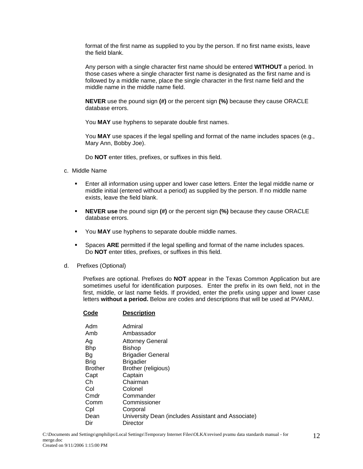format of the first name as supplied to you by the person. If no first name exists, leave the field blank.

 Any person with a single character first name should be entered **WITHOUT** a period. In those cases where a single character first name is designated as the first name and is followed by a middle name, place the single character in the first name field and the middle name in the middle name field.

**NEVER** use the pound sign **(#)** or the percent sign **(%)** because they cause ORACLE database errors.

You **MAY** use hyphens to separate double first names.

 You **MAY** use spaces if the legal spelling and format of the name includes spaces (e.g., Mary Ann, Bobby Joe).

Do **NOT** enter titles, prefixes, or suffixes in this field.

- c. Middle Name
	- Enter all information using upper and lower case letters. Enter the legal middle name or middle initial (entered without a period) as supplied by the person. If no middle name exists, leave the field blank.
	- **NEVER use** the pound sign **(#)** or the percent sign **(%)** because they cause ORACLE database errors.
	- You **MAY** use hyphens to separate double middle names.
	- Spaces **ARE** permitted if the legal spelling and format of the name includes spaces. Do **NOT** enter titles, prefixes, or suffixes in this field.
- d. Prefixes (Optional)

Prefixes are optional. Prefixes do **NOT** appear in the Texas Common Application but are sometimes useful for identification purposes. Enter the prefix in its own field, not in the first, middle, or last name fields. If provided, enter the prefix using upper and lower case letters **without a period.** Below are codes and descriptions that will be used at PVAMU.

#### **Code Description** Adm Admiral Amb Ambassador Ag Attorney General Bhp Bishop Bg Brigadier General Brigadier Brigadier Brother Brother (religious) Capt Captain Ch Chairman Col Colonel Cmdr Commander Comm Commissioner Cpl Corporal Dean University Dean (includes Assistant and Associate) Dir Director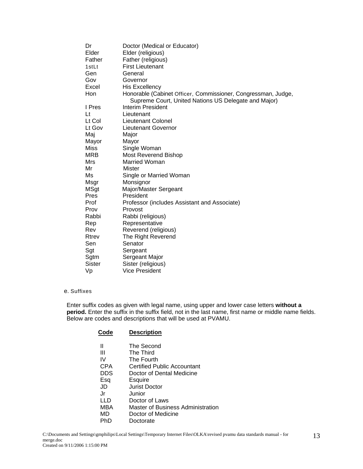| Dr          | Doctor (Medical or Educator)                                                                                          |
|-------------|-----------------------------------------------------------------------------------------------------------------------|
| Elder       | Elder (religious)                                                                                                     |
| Father      | Father (religious)                                                                                                    |
| 1stLt       | <b>First Lieutenant</b>                                                                                               |
| Gen         | General                                                                                                               |
| Gov         | Governor                                                                                                              |
| Excel       | <b>His Excellency</b>                                                                                                 |
| Hon         | Honorable (Cabinet Officer, Commissioner, Congressman, Judge,<br>Supreme Court, United Nations US Delegate and Major) |
| I Pres      | Interim President                                                                                                     |
| Lt          | Lieutenant                                                                                                            |
| Lt Col      | Lieutenant Colonel                                                                                                    |
| Lt Gov      | <b>Lieutenant Governor</b>                                                                                            |
| Maj         | Major                                                                                                                 |
| Mayor       | Mayor                                                                                                                 |
| <b>Miss</b> | Single Woman                                                                                                          |
| <b>MRB</b>  | <b>Most Reverend Bishop</b>                                                                                           |
| Mrs         | <b>Married Woman</b>                                                                                                  |
| Mr          | Mister                                                                                                                |
| Ms          | Single or Married Woman                                                                                               |
| Msgr        | Monsignor                                                                                                             |
| <b>MSgt</b> | Major/Master Sergeant                                                                                                 |
| <b>Pres</b> | President                                                                                                             |
| Prof        | Professor (includes Assistant and Associate)                                                                          |
| Prov        | Provost                                                                                                               |
| Rabbi       | Rabbi (religious)                                                                                                     |
| Rep         | Representative                                                                                                        |
| Rev         | Reverend (religious)                                                                                                  |
| Rtrev       | The Right Reverend                                                                                                    |
| Sen         | Senator                                                                                                               |
| Sgt         | Sergeant                                                                                                              |
| Sgtm        | Sergeant Major                                                                                                        |
| Sister      | Sister (religious)                                                                                                    |
| Vp          | Vice President                                                                                                        |

#### e. Suffixes

Enter suffix codes as given with legal name, using upper and lower case letters **without a period.** Enter the suffix in the suffix field, not in the last name, first name or middle name fields. Below are codes and descriptions that will be used at PVAMU.

| Code       | <b>Description</b>                |
|------------|-----------------------------------|
| Ш          | The Second                        |
| Ш          | The Third                         |
| IV         | The Fourth                        |
| <b>CPA</b> | Certified Public Accountant       |
| <b>DDS</b> | Doctor of Dental Medicine         |
| Esq        | Esquire                           |
| JD         | Jurist Doctor                     |
| .Jr        | Junior                            |
| LLD        | Doctor of Laws                    |
| MBA        | Master of Business Administration |
| MD         | Doctor of Medicine                |
| PhD        | Doctorate                         |
|            |                                   |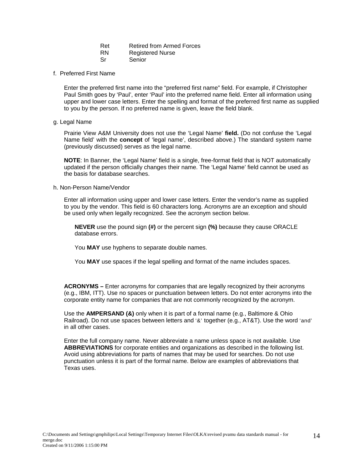| Ret       | <b>Retired from Armed Forces</b> |
|-----------|----------------------------------|
| <b>RN</b> | <b>Registered Nurse</b>          |
| Sr        | Senior                           |

#### f. Preferred First Name

Enter the preferred first name into the "preferred first name" field. For example, if Christopher Paul Smith goes by 'Paul', enter 'Paul' into the preferred name field. Enter all information using upper and lower case letters. Enter the spelling and format of the preferred first name as supplied to you by the person. If no preferred name is given, leave the field blank.

#### g. Legal Name

Prairie View A&M University does not use the 'Legal Name' **field.** (Do not confuse the 'Legal Name field' with the **concept** of 'legal name', described above.) The standard system name (previously discussed) serves as the legal name.

**NOTE**: In Banner, the 'Legal Name' field is a single, free-format field that is NOT automatically updated if the person officially changes their name. The 'Legal Name' field cannot be used as the basis for database searches.

#### h. Non-Person Name/Vendor

Enter all information using upper and lower case letters. Enter the vendor's name as supplied to you by the vendor. This field is 60 characters long. Acronyms are an exception and should be used only when legally recognized. See the acronym section below.

**NEVER** use the pound sign **(#)** or the percent sign **(%)** because they cause ORACLE database errors.

You **MAY** use hyphens to separate double names.

You **MAY** use spaces if the legal spelling and format of the name includes spaces.

**ACRONYMS –** Enter acronyms for companies that are legally recognized by their acronyms (e.g., IBM, ITT). Use no spaces or punctuation between letters. Do not enter acronyms into the corporate entity name for companies that are not commonly recognized by the acronym.

Use the **AMPERSAND (&)** only when it is part of a formal name (e.g., Baltimore & Ohio Railroad). Do not use spaces between letters and '&' together (e.g., AT&T). Use the word 'and' in all other cases.

Enter the full company name. Never abbreviate a name unless space is not available. Use **ABBREVIATIONS** for corporate entities and organizations as described in the following list. Avoid using abbreviations for parts of names that may be used for searches. Do not use punctuation unless it is part of the formal name. Below are examples of abbreviations that .<br>Texas uses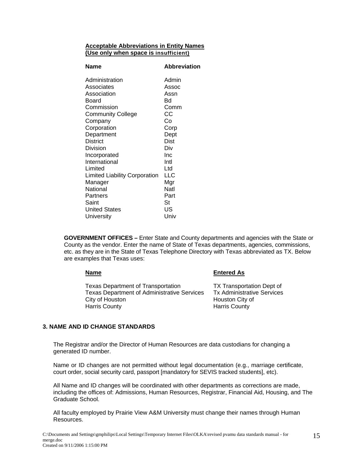#### **Acceptable Abbreviations in Entity Names (Use only when space is insufficient)**

| Name                                 | <b>Abbreviation</b> |
|--------------------------------------|---------------------|
| Administration                       | Admin               |
| Associates                           | Assoc               |
| Association                          | Assn                |
| Board                                | Bd                  |
| Commission                           | Comm                |
| <b>Community College</b>             | CС                  |
| Company                              | Co                  |
| Corporation                          | Corp                |
| Department                           | Dept                |
| <b>District</b>                      | Dist                |
| Division                             | Div                 |
| Incorporated                         | Inc                 |
| International                        | Intl                |
| Limited                              | Ltd                 |
| <b>Limited Liability Corporation</b> | LLC                 |
| Manager                              | Mgr                 |
| National                             | Natl                |
| Partners                             | Part                |
| Saint                                | St                  |
| <b>United States</b>                 | US                  |
| University                           | Univ                |

**GOVERNMENT OFFICES –** Enter State and County departments and agencies with the State or County as the vendor. Enter the name of State of Texas departments, agencies, commissions, etc. as they are in the State of Texas Telephone Directory with Texas abbreviated as TX. Below are examples that Texas uses:

**Entered As** 

Texas Department of Transportation TX Transportation Dept of Texas Department of Administrative Services Tx Administrative Services City of Houston **City of Houston City of Harris County Harris County** 

#### **3. NAME AND ID CHANGE STANDARDS**

The Registrar and/or the Director of Human Resources are data custodians for changing a generated ID number.

Name or ID changes are not permitted without legal documentation (e.g., marriage certificate, court order, social security card, passport [mandatory for SEVIS tracked students], etc).

All Name and ID changes will be coordinated with other departments as corrections are made, including the offices of: Admissions, Human Resources, Registrar, Financial Aid, Housing, and The Graduate School.

All faculty employed by Prairie View A&M University must change their names through Human Resources.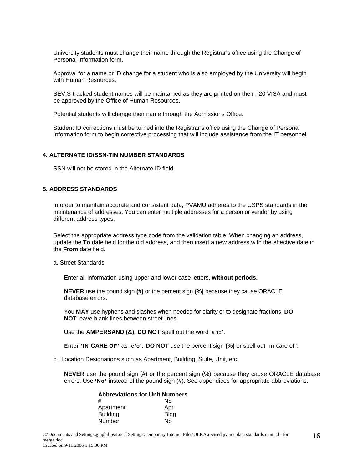University students must change their name through the Registrar's office using the Change of Personal Information form.

Approval for a name or ID change for a student who is also employed by the University will begin with Human Resources.

SEVIS-tracked student names will be maintained as they are printed on their I-20 VISA and must be approved by the Office of Human Resources.

Potential students will change their name through the Admissions Office.

Student ID corrections must be turned into the Registrar's office using the Change of Personal Information form to begin corrective processing that will include assistance from the IT personnel.

#### **4. ALTERNATE ID/SSN-TIN NUMBER STANDARDS**

SSN will not be stored in the Alternate ID field.

#### **5. ADDRESS STANDARDS**

In order to maintain accurate and consistent data, PVAMU adheres to the USPS standards in the maintenance of addresses. You can enter multiple addresses for a person or vendor by using different address types.

Select the appropriate address type code from the validation table. When changing an address, update the **To** date field for the old address, and then insert a new address with the effective date in the **From** date field.

a. Street Standards

Enter all information using upper and lower case letters, **without periods.** 

**NEVER** use the pound sign **(#)** or the percent sign **(%)** because they cause ORACLE database errors.

You **MAY** use hyphens and slashes when needed for clarity or to designate fractions. **DO NOT** leave blank lines between street lines.

Use the **AMPERSAND (&). DO NOT** spell out the word 'and'.

Enter **'IN CARE OF'** as **'c/o'. DO NOT** use the percent sign **(%)** or spell out 'in care of''.

b. Location Designations such as Apartment, Building, Suite, Unit, etc.

**NEVER** use the pound sign (#) or the percent sign (%) because they cause ORACLE database errors. Use **'No'** instead of the pound sign (#). See appendices for appropriate abbreviations.

| <b>Abbreviations for Unit Numbers</b> |      |
|---------------------------------------|------|
| #                                     | N٥   |
| Apartment                             | Apt  |
| <b>Building</b>                       | Bldg |
| Number                                | N٥   |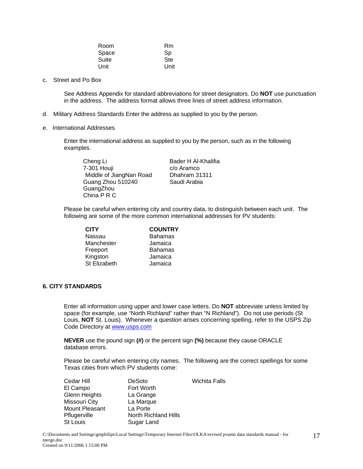| Room  | Rm   |
|-------|------|
| Space | Sp   |
| Suite | Ste  |
| Unit  | Unit |

c. Street and Po Box

See Address Appendix for standard abbreviations for street designators. Do **NOT** use punctuation in the address. The address format allows three lines of street address information.

- d. Military Address Standards Enter the address as supplied to you by the person.
- e. International Addresses

Enter the international address as supplied to you by the person, such as in the following examples.

Cheng Li Bader H Al-Khalifia 7-301 Houji c/o Aramco Middle of JiangNan Road Dhahram 31311 Guang Zhou 510240 Saudi Arabia **GuangZhou** China P R C

Please be careful when entering city and country data, to distinguish between each unit. The following are some of the more common international addresses for PV students:

**CITY COUNTRY** Nassau Bahamas Manchester Jamaica Freeport Bahamas Kingston Jamaica<br>St Elizabeth Jamaica St Elizabeth

#### **6. CITY STANDARDS**

Enter all information using upper and lower case letters. Do **NOT** abbreviate unless limited by space (for example, use "North Richland" rather than "N Richland"). Do not use periods (St Louis, **NOT** St. Louis). Whenever a question arises concerning spelling, refer to the USPS Zip Code Directory at www.usps.com

**NEVER** use the pound sign **(#)** or the percent sign **(%)** because they cause ORACLE database errors.

Please be careful when entering city names. The following are the correct spellings for some Texas cities from which PV students come:

| Cedar Hill           | DeSoto                      | Wichita Falls |
|----------------------|-----------------------------|---------------|
| El Campo             | Fort Worth                  |               |
| <b>Glenn Heights</b> | La Grange                   |               |
| Missouri City        | La Marque                   |               |
| Mount Pleasant       | La Porte                    |               |
| Pflugerville         | <b>North Richland Hills</b> |               |
| <b>St Louis</b>      | Sugar Land                  |               |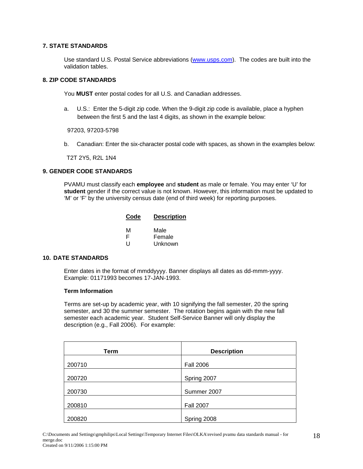#### **7. STATE STANDARDS**

Use standard U.S. Postal Service abbreviations (www.usps.com). The codes are built into the validation tables.

#### **8. ZIP CODE STANDARDS**

You **MUST** enter postal codes for all U.S. and Canadian addresses.

a. U.S.: Enter the 5-digit zip code. When the 9-digit zip code is available, place a hyphen between the first 5 and the last 4 digits, as shown in the example below:

97203, 97203-5798

b. Canadian: Enter the six-character postal code with spaces, as shown in the examples below:

T2T 2Y5, R2L 1N4

#### **9. GENDER CODE STANDARDS**

PVAMU must classify each **employee** and **student** as male or female. You may enter 'U' for **student** gender if the correct value is not known. However, this information must be updated to 'M' or 'F' by the university census date (end of third week) for reporting purposes.

| Code | <b>Description</b> |  |
|------|--------------------|--|
|      |                    |  |
| м    | Male               |  |
| F    | Female             |  |
| U    | Unknown            |  |

#### **10. DATE STANDARDS**

Enter dates in the format of mmddyyyy. Banner displays all dates as dd-mmm-yyyy. Example: 01171993 becomes 17-JAN-1993.

#### **Term Information**

Terms are set-up by academic year, with 10 signifying the fall semester, 20 the spring semester, and 30 the summer semester. The rotation begins again with the new fall semester each academic year. Student Self-Service Banner will only display the description (e.g., Fall 2006). For example:

| <b>Term</b> | <b>Description</b> |
|-------------|--------------------|
|             |                    |
| 200710      | <b>Fall 2006</b>   |
|             |                    |
| 200720      | Spring 2007        |
|             |                    |
| 200730      | Summer 2007        |
|             |                    |
| 200810      | <b>Fall 2007</b>   |
|             |                    |
| 200820      | Spring 2008        |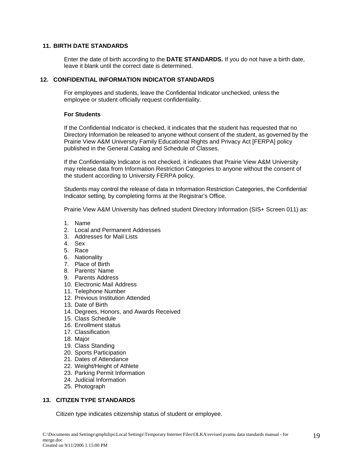#### **11. BIRTH DATE STANDARDS**

Enter the date of birth according to the **DATE STANDARDS.** If you do not have a birth date, leave it blank until the correct date is determined.

#### **12. CONFIDENTIAL INFORMATION INDICATOR STANDARDS**

For employees and students, leave the Confidential Indicator unchecked, unless the employee or student officially request confidentiality.

#### **For Students**

If the Confidential Indicator is checked, it indicates that the student has requested that no Directory Information be released to anyone without consent of the student, as governed by the Prairie View A&M University Family Educational Rights and Privacy Act [FERPA] policy published in the General Catalog and Schedule of Classes.

If the Confidentiality Indicator is not checked, it indicates that Prairie View A&M University may release data from Information Restriction Categories to anyone without the consent of the student according to University FERPA policy.

Students may control the release of data in Information Restriction Categories, the Confidential Indicator setting, by completing forms at the Registrar's Office.

Prairie View A&M University has defined student Directory Information (SIS+ Screen 011) as:

- 1. Name
- 2. Local and Permanent Addresses
- 3. Addresses for Mail Lists
- 4. Sex
- 5. Race
- 6. Nationality
- 7. Place of Birth
- 8. Parents' Name
- 9. Parents Address
- 10. Electronic Mail Address
- 11. Telephone Number
- 12. Previous Institution Attended
- 13. Date of Birth
- 14. Degrees, Honors, and Awards Received
- 15. Class Schedule
- 16. Enrollment status
- 17. Classification
- 18. Major
- 19. Class Standing
- 20. Sports Participation
- 21. Dates of Attendance
- 22. Weight/Height of Athlete
- 23. Parking Permit Information
- 24. Judicial Information
- 25. Photograph

#### **13. CITIZEN TYPE STANDARDS**

Citizen type indicates citizenship status of student or employee.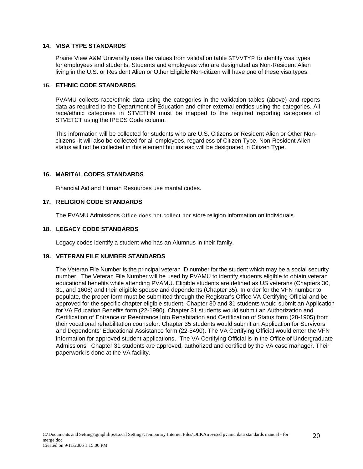#### **14. VISA TYPE STANDARDS**

Prairie View A&M University uses the values from validation table STVVTYP to identify visa types for employees and students. Students and employees who are designated as Non-Resident Alien living in the U.S. or Resident Alien or Other Eligible Non-citizen will have one of these visa types.

#### **15. ETHNIC CODE STANDARDS**

PVAMU collects race/ethnic data using the categories in the validation tables (above) and reports data as required to the Department of Education and other external entities using the categories. All race/ethnic categories in STVETHN must be mapped to the required reporting categories of STVETCT using the IPEDS Code column.

This information will be collected for students who are U.S. Citizens or Resident Alien or Other Noncitizens. It will also be collected for all employees, regardless of Citizen Type. Non-Resident Alien status will not be collected in this element but instead will be designated in Citizen Type.

#### **16. MARITAL CODES STANDARDS**

Financial Aid and Human Resources use marital codes.

#### **17. RELIGION CODE STANDARDS**

The PVAMU Admissions Office does not collect nor store religion information on individuals.

#### **18. LEGACY CODE STANDARDS**

Legacy codes identify a student who has an Alumnus in their family.

#### **19. VETERAN FILE NUMBER STANDARDS**

The Veteran File Number is the principal veteran ID number for the student which may be a social security number. The Veteran File Number will be used by PVAMU to identify students eligible to obtain veteran educational benefits while attending PVAMU. Eligible students are defined as US veterans (Chapters 30, 31, and 1606) and their eligible spouse and dependents (Chapter 35). In order for the VFN number to populate, the proper form must be submitted through the Registrar's Office VA Certifying Official and be approved for the specific chapter eligible student. Chapter 30 and 31 students would submit an Application for VA Education Benefits form (22-1990). Chapter 31 students would submit an Authorization and Certification of Entrance or Reentrance Into Rehabitation and Certification of Status form (28-1905) from their vocational rehabilitation counselor. Chapter 35 students would submit an Application for Survivors' and Dependents' Educational Assistance form (22-5490). The VA Certifying Official would enter the VFN information for approved student applications. The VA Certifying Official is in the Office of Undergraduate Admissions. Chapter 31 students are approved, authorized and certified by the VA case manager. Their paperwork is done at the VA facility.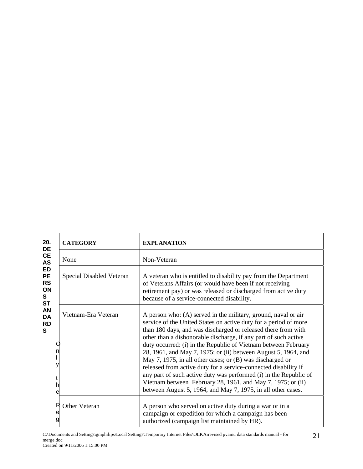| 20.<br>DE                                                                                                                            | <b>CATEGORY</b>                | <b>EXPLANATION</b>                                                                                                                                                                                                                                                                                                                                                                                                                                                                                                                                                                                                                                                                                                                             |
|--------------------------------------------------------------------------------------------------------------------------------------|--------------------------------|------------------------------------------------------------------------------------------------------------------------------------------------------------------------------------------------------------------------------------------------------------------------------------------------------------------------------------------------------------------------------------------------------------------------------------------------------------------------------------------------------------------------------------------------------------------------------------------------------------------------------------------------------------------------------------------------------------------------------------------------|
| CE<br><b>AS</b><br><b>ED</b><br><b>PE</b><br><b>RS</b><br>ON<br>S<br><b>ST</b><br><b>AN</b><br><b>DA</b><br><b>RD</b><br>S<br>t<br>h | None                           | Non-Veteran                                                                                                                                                                                                                                                                                                                                                                                                                                                                                                                                                                                                                                                                                                                                    |
|                                                                                                                                      | Special Disabled Veteran       | A veteran who is entitled to disability pay from the Department<br>of Veterans Affairs (or would have been if not receiving<br>retirement pay) or was released or discharged from active duty<br>because of a service-connected disability.                                                                                                                                                                                                                                                                                                                                                                                                                                                                                                    |
|                                                                                                                                      | Vietnam-Era Veteran<br>е       | A person who: (A) served in the military, ground, naval or air<br>service of the United States on active duty for a period of more<br>than 180 days, and was discharged or released there from with<br>other than a dishonorable discharge, if any part of such active<br>duty occurred: (i) in the Republic of Vietnam between February<br>28, 1961, and May 7, 1975; or (ii) between August 5, 1964, and<br>May 7, 1975, in all other cases; or (B) was discharged or<br>released from active duty for a service-connected disability if<br>any part of such active duty was performed (i) in the Republic of<br>Vietnam between February 28, 1961, and May 7, 1975; or (ii)<br>between August 5, 1964, and May 7, 1975, in all other cases. |
|                                                                                                                                      | R<br><b>Other Veteran</b><br>e | A person who served on active duty during a war or in a<br>campaign or expedition for which a campaign has been<br>authorized (campaign list maintained by HR).                                                                                                                                                                                                                                                                                                                                                                                                                                                                                                                                                                                |

C:\Documents and Settings\gmphilips\Local Settings\Temporary Internet Files\OLKA\revised pvamu data standards manual - for merge.doc Created on 9/11/2006 1:15:00 PM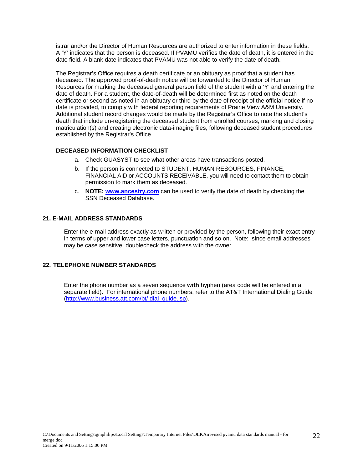istrar and/or the Director of Human Resources are authorized to enter information in these fields. A 'Y' indicates that the person is deceased. If PVAMU verifies the date of death, it is entered in the date field. A blank date indicates that PVAMU was not able to verify the date of death.

The Registrar's Office requires a death certificate or an obituary as proof that a student has deceased. The approved proof-of-death notice will be forwarded to the Director of Human Resources for marking the deceased general person field of the student with a 'Y' and entering the date of death. For a student, the date-of-death will be determined first as noted on the death certificate or second as noted in an obituary or third by the date of receipt of the official notice if no date is provided, to comply with federal reporting requirements of Prairie View A&M University. Additional student record changes would be made by the Registrar's Office to note the student's death that include un-registering the deceased student from enrolled courses, marking and closing matriculation(s) and creating electronic data-imaging files, following deceased student procedures established by the Registrar's Office.

#### **DECEASED INFORMATION CHECKLIST**

- a. Check GUASYST to see what other areas have transactions posted.
- b. If the person is connected to STUDENT, HUMAN RESOURCES, FINANCE, FINANCIAL AID or ACCOUNTS RECEIVABLE, you will need to contact them to obtain permission to mark them as deceased.
- c. **NOTE: www.ancestry.com** can be used to verify the date of death by checking the SSN Deceased Database.

#### **21. E-MAIL ADDRESS STANDARDS**

Enter the e-mail address exactly as written or provided by the person, following their exact entry in terms of upper and lower case letters, punctuation and so on. Note: since email addresses may be case sensitive, doublecheck the address with the owner.

#### **22. TELEPHONE NUMBER STANDARDS**

Enter the phone number as a seven sequence **with** hyphen (area code will be entered in a separate field). For international phone numbers, refer to the AT&T International Dialing Guide (http://www.business.att.com/bt/ dial\_guide.jsp).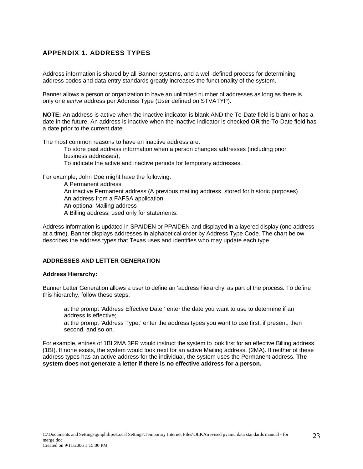## **APPENDIX 1. ADDRESS TYPES**

Address information is shared by all Banner systems, and a well-defined process for determining address codes and data entry standards greatly increases the functionality of the system.

Banner allows a person or organization to have an unlimited number of addresses as long as there is only one *active* address per Address Type (User defined on STVATYP).

**NOTE:** An address is active when the inactive indicator is blank AND the To-Date field is blank or has a date in the future. An address is inactive when the inactive indicator is checked **OR** the To-Date field has a date prior to the current date.

The most common reasons to have an inactive address are:

 To store past address information when a person changes addresses (including prior business addresses), To indicate the active and inactive periods for temporary addresses.

For example, John Doe might have the following:

 A Permanent address An inactive Permanent address (A previous mailing address, stored for historic purposes) An address from a FAFSA application An optional Mailing address A Billing address, used only for statements.

Address information is updated in SPAIDEN or PPAIDEN and displayed in a layered display (one address at a time). Banner displays addresses in alphabetical order by Address Type Code. The chart below describes the address types that Texas uses and identifies who may update each type.

#### **ADDRESSES AND LETTER GENERATION**

#### **Address Hierarchy:**

Banner Letter Generation allows a user to define an 'address hierarchy' as part of the process. To define this hierarchy, follow these steps:

 at the prompt 'Address Effective Date:' enter the date you want to use to determine if an address is effective;

 at the prompt 'Address Type:' enter the address types you want to use first, if present, then second, and so on.

For example, entries of 1BI 2MA 3PR would instruct the system to look first for an effective Billing address (1BI). If none exists, the system would look next for an active Mailing address. (2MA). If neither of these address types has an active address for the individual, the system uses the Permanent address. **The system does not generate a letter if there is no effective address for a person.**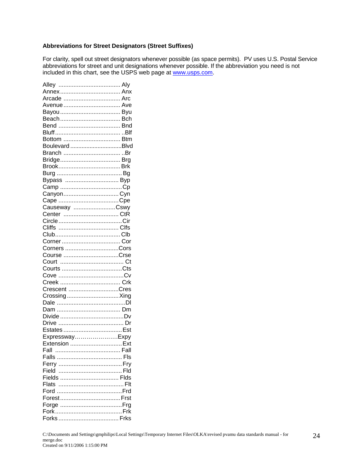#### **Abbreviations for Street Designators (Street Suffixes)**

For clarity, spell out street designators whenever possible (as space permits). PV uses U.S. Postal Service abbreviations for street and unit designations whenever possible. If the abbreviation you need is not included in this chart, see the USPS web page at www.usps.com.

| Arcade  Arc    |  |
|----------------|--|
|                |  |
|                |  |
|                |  |
|                |  |
|                |  |
|                |  |
| BoulevardBlvd  |  |
|                |  |
|                |  |
|                |  |
|                |  |
|                |  |
| Bypass  Byp    |  |
|                |  |
| CanyonCyn      |  |
|                |  |
| Causeway Cswy  |  |
| Center CtR     |  |
|                |  |
|                |  |
|                |  |
|                |  |
| Corners Cors   |  |
| Course Crse    |  |
|                |  |
|                |  |
|                |  |
|                |  |
| Crescent Cres  |  |
| Crossing Xing  |  |
|                |  |
|                |  |
|                |  |
|                |  |
|                |  |
| ExpresswayExpy |  |
| Extension  Ext |  |
|                |  |
| Fall           |  |
|                |  |
|                |  |
|                |  |
|                |  |
|                |  |
|                |  |
|                |  |
|                |  |
|                |  |
|                |  |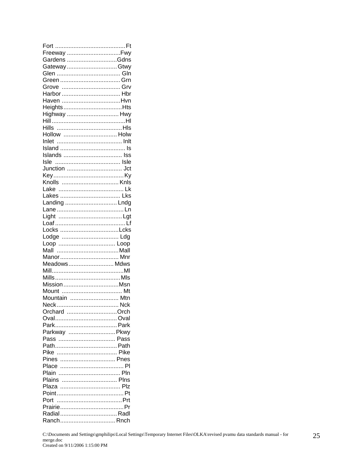| Freeway Fwy   |  |
|---------------|--|
| Gardens Gdns  |  |
| GatewayGtwy   |  |
|               |  |
|               |  |
|               |  |
|               |  |
| Haven Hvn     |  |
| HeightsHts    |  |
| Highway  Hwy  |  |
|               |  |
|               |  |
| Hollow  Holw  |  |
|               |  |
|               |  |
|               |  |
|               |  |
|               |  |
|               |  |
|               |  |
|               |  |
|               |  |
|               |  |
| Landing  Lndg |  |
|               |  |
|               |  |
|               |  |
| Locks Lcks    |  |
|               |  |
|               |  |
|               |  |
| Manor Mnr     |  |
| Meadows Mdws  |  |
|               |  |
|               |  |
| Mission Msn   |  |
|               |  |
| Mountain  Mtn |  |
|               |  |
| Orchard Orch  |  |
|               |  |
|               |  |
| Parkway  Pkwy |  |
|               |  |
|               |  |
|               |  |
| Pines  Pnes   |  |
|               |  |
|               |  |
|               |  |
| Plains  Plns  |  |
|               |  |
|               |  |
|               |  |
|               |  |
|               |  |
| Ranch Rnch    |  |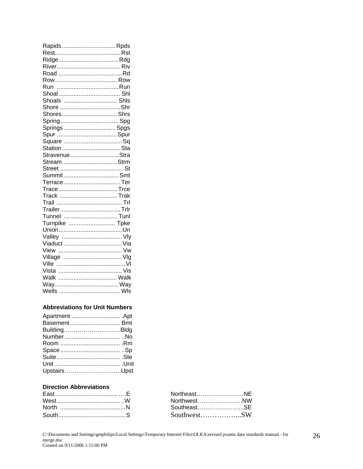| Rapids Rpds    |  |
|----------------|--|
|                |  |
|                |  |
|                |  |
|                |  |
|                |  |
|                |  |
|                |  |
| Shoals  Shls   |  |
|                |  |
| Shores Shrs    |  |
|                |  |
| Springs Spgs   |  |
|                |  |
|                |  |
|                |  |
| StravenueStra  |  |
| Stream Strm    |  |
|                |  |
|                |  |
|                |  |
|                |  |
| Track  Trak    |  |
|                |  |
|                |  |
| Tunnel  Tunl   |  |
| Turnpike  Tpke |  |
|                |  |
|                |  |
| Viaduct  Via   |  |
|                |  |
|                |  |
|                |  |
|                |  |
| Walk  Walk     |  |
|                |  |
|                |  |

#### **Abbreviations for Unit Numbers**

| Basement Bmt |
|--------------|
| BuildingBldg |
|              |
|              |
|              |
|              |
|              |
| UpstairsUpst |
|              |

#### **Direction Abbreviations**

| NortheastNE |  |
|-------------|--|
| NorthwestNW |  |
| SoutheastSE |  |
| SouthwestSW |  |